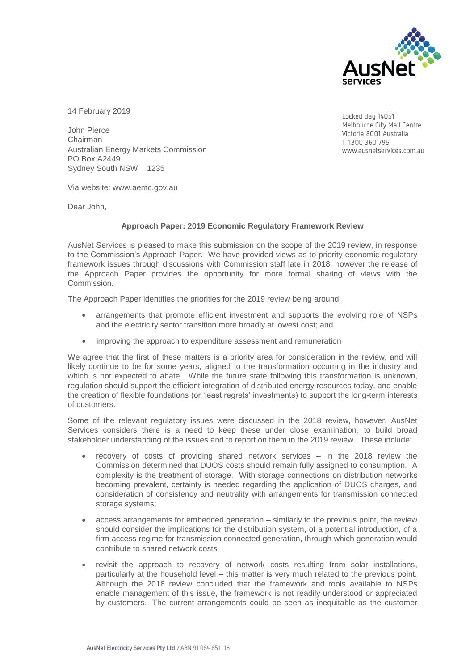

14 February 2019

John Pierce Chairman Australian Energy Markets Commission PO Box A2449 Sydney South NSW 1235

Locked Bag 14051 Melbourne City Mail Centre Victoria 8001 Australia T: 1300 360 795 www.ausnetservices.com.au

Via website: www.aemc.gov.au

Dear John,

## **Approach Paper: 2019 Economic Regulatory Framework Review**

AusNet Services is pleased to make this submission on the scope of the 2019 review, in response to the Commission's Approach Paper. We have provided views as to priority economic regulatory framework issues through discussions with Commission staff late in 2018, however the release of the Approach Paper provides the opportunity for more formal sharing of views with the Commission.

The Approach Paper identifies the priorities for the 2019 review being around:

- arrangements that promote efficient investment and supports the evolving role of NSPs and the electricity sector transition more broadly at lowest cost; and
- improving the approach to expenditure assessment and remuneration

We agree that the first of these matters is a priority area for consideration in the review, and will likely continue to be for some years, aligned to the transformation occurring in the industry and which is not expected to abate. While the future state following this transformation is unknown, regulation should support the efficient integration of distributed energy resources today, and enable the creation of flexible foundations (or 'least regrets' investments) to support the long-term interests of customers.

Some of the relevant regulatory issues were discussed in the 2018 review, however, AusNet Services considers there is a need to keep these under close examination, to build broad stakeholder understanding of the issues and to report on them in the 2019 review. These include:

- recovery of costs of providing shared network services in the 2018 review the Commission determined that DUOS costs should remain fully assigned to consumption. A complexity is the treatment of storage. With storage connections on distribution networks becoming prevalent, certainty is needed regarding the application of DUOS charges, and consideration of consistency and neutrality with arrangements for transmission connected storage systems;
- access arrangements for embedded generation similarly to the previous point, the review should consider the implications for the distribution system, of a potential introduction, of a firm access regime for transmission connected generation, through which generation would contribute to shared network costs
- revisit the approach to recovery of network costs resulting from solar installations, particularly at the household level – this matter is very much related to the previous point. Although the 2018 review concluded that the framework and tools available to NSPs enable management of this issue, the framework is not readily understood or appreciated by customers. The current arrangements could be seen as inequitable as the customer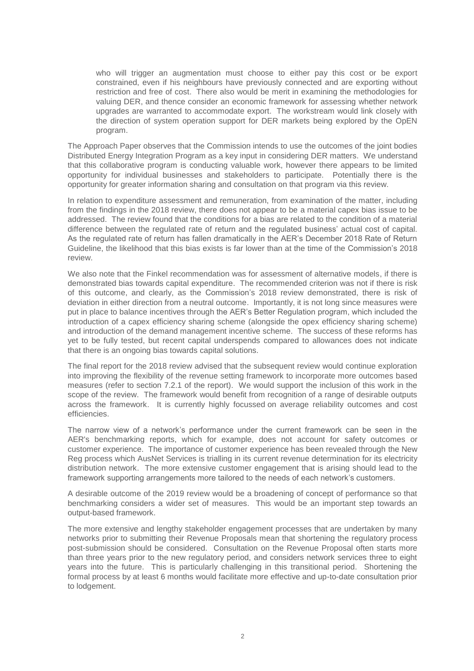who will trigger an augmentation must choose to either pay this cost or be export constrained, even if his neighbours have previously connected and are exporting without restriction and free of cost. There also would be merit in examining the methodologies for valuing DER, and thence consider an economic framework for assessing whether network upgrades are warranted to accommodate export. The workstream would link closely with the direction of system operation support for DER markets being explored by the OpEN program.

The Approach Paper observes that the Commission intends to use the outcomes of the joint bodies Distributed Energy Integration Program as a key input in considering DER matters. We understand that this collaborative program is conducting valuable work, however there appears to be limited opportunity for individual businesses and stakeholders to participate. Potentially there is the opportunity for greater information sharing and consultation on that program via this review.

In relation to expenditure assessment and remuneration, from examination of the matter, including from the findings in the 2018 review, there does not appear to be a material capex bias issue to be addressed. The review found that the conditions for a bias are related to the condition of a material difference between the regulated rate of return and the regulated business' actual cost of capital. As the regulated rate of return has fallen dramatically in the AER's December 2018 Rate of Return Guideline, the likelihood that this bias exists is far lower than at the time of the Commission's 2018 review.

We also note that the Finkel recommendation was for assessment of alternative models, if there is demonstrated bias towards capital expenditure. The recommended criterion was not if there is risk of this outcome, and clearly, as the Commission's 2018 review demonstrated, there is risk of deviation in either direction from a neutral outcome. Importantly, it is not long since measures were put in place to balance incentives through the AER's Better Regulation program, which included the introduction of a capex efficiency sharing scheme (alongside the opex efficiency sharing scheme) and introduction of the demand management incentive scheme. The success of these reforms has yet to be fully tested, but recent capital underspends compared to allowances does not indicate that there is an ongoing bias towards capital solutions.

The final report for the 2018 review advised that the subsequent review would continue exploration into improving the flexibility of the revenue setting framework to incorporate more outcomes based measures (refer to section 7.2.1 of the report). We would support the inclusion of this work in the scope of the review. The framework would benefit from recognition of a range of desirable outputs across the framework. It is currently highly focussed on average reliability outcomes and cost efficiencies.

The narrow view of a network's performance under the current framework can be seen in the AER's benchmarking reports, which for example, does not account for safety outcomes or customer experience. The importance of customer experience has been revealed through the New Reg process which AusNet Services is trialling in its current revenue determination for its electricity distribution network. The more extensive customer engagement that is arising should lead to the framework supporting arrangements more tailored to the needs of each network's customers.

A desirable outcome of the 2019 review would be a broadening of concept of performance so that benchmarking considers a wider set of measures. This would be an important step towards an output-based framework.

The more extensive and lengthy stakeholder engagement processes that are undertaken by many networks prior to submitting their Revenue Proposals mean that shortening the regulatory process post-submission should be considered. Consultation on the Revenue Proposal often starts more than three years prior to the new regulatory period, and considers network services three to eight years into the future. This is particularly challenging in this transitional period. Shortening the formal process by at least 6 months would facilitate more effective and up-to-date consultation prior to lodgement.